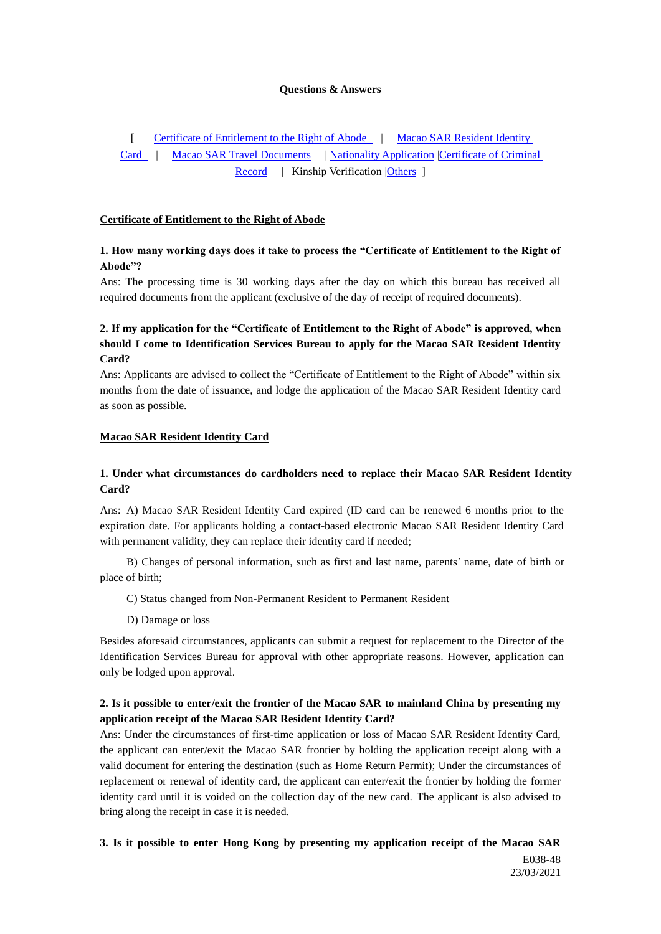### **Questions & Answers**

[ [Certificate of Entitlement to the Right of Abode](http://www.dsi.gov.mo/QAndA_e.html#CH1#CH1) | Macao SAR Resident Identity [Card](http://www.dsi.gov.mo/QAndA_e.html#CH2#CH2) | [Macao](http://www.dsi.gov.mo/QAndA_e.html#CH3#CH3) SAR Travel Documents | Nationality Application [|Certificate of Criminal](http://www.dsi.gov.mo/QAndA_e.html#CH4#CH4)  [Record](http://www.dsi.gov.mo/QAndA_e.html#CH4#CH4) | Kinship Verification | Others ]

#### **Certificate of Entitlement to the Right of Abode**

### **1. How many working days does it take to process the "Certificate of Entitlement to the Right of Abode"?**

Ans: The processing time is 30 working days after the day on which this bureau has received all required documents from the applicant (exclusive of the day of receipt of required documents).

## **2. If my application for the "Certificate of Entitlement to the Right of Abode" is approved, when should I come to Identification Services Bureau to apply for the Macao SAR Resident Identity Card?**

Ans: Applicants are advised to collect the "Certificate of Entitlement to the Right of Abode" within six months from the date of issuance, and lodge the application of the Macao SAR Resident Identity card as soon as possible.

#### **Macao SAR Resident Identity Card**

### **1. Under what circumstances do cardholders need to replace their Macao SAR Resident Identity Card?**

Ans: A) Macao SAR Resident Identity Card expired (ID card can be renewed 6 months prior to the expiration date. For applicants holding a contact-based electronic Macao SAR Resident Identity Card with permanent validity, they can replace their identity card if needed;

B) Changes of personal information, such as first and last name, parents' name, date of birth or place of birth;

- C) Status changed from Non-Permanent Resident to Permanent Resident
- D) Damage or loss

Besides aforesaid circumstances, applicants can submit a request for replacement to the Director of the Identification Services Bureau for approval with other appropriate reasons. However, application can only be lodged upon approval.

### **2. Is it possible to enter/exit the frontier of the Macao SAR to mainland China by presenting my application receipt of the Macao SAR Resident Identity Card?**

Ans: Under the circumstances of first-time application or loss of Macao SAR Resident Identity Card, the applicant can enter/exit the Macao SAR frontier by holding the application receipt along with a valid document for entering the destination (such as Home Return Permit); Under the circumstances of replacement or renewal of identity card, the applicant can enter/exit the frontier by holding the former identity card until it is voided on the collection day of the new card. The applicant is also advised to bring along the receipt in case it is needed.

## **3. Is it possible to enter Hong Kong by presenting my application receipt of the Macao SAR**

 E038-48 23/03/2021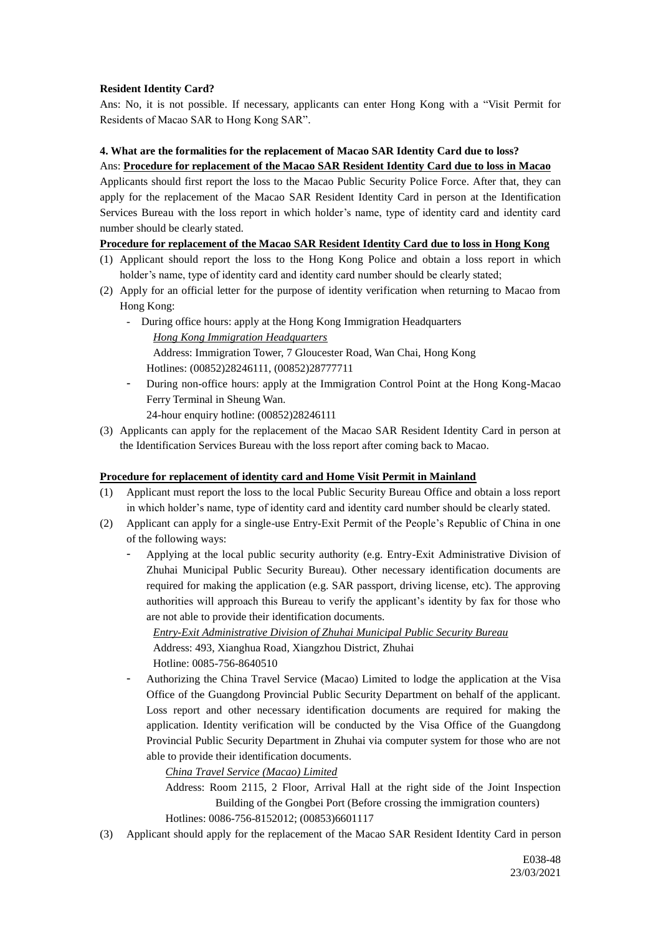### **Resident Identity Card?**

Ans: No, it is not possible. If necessary, applicants can enter Hong Kong with a "Visit Permit for Residents of Macao SAR to Hong Kong SAR".

### **4. What are the formalities for the replacement of Macao SAR Identity Card due to loss?**

### Ans: **Procedure for replacement of the Macao SAR Resident Identity Card due to loss in Macao**

Applicants should first report the loss to the Macao Public Security Police Force. After that, they can apply for the replacement of the Macao SAR Resident Identity Card in person at the Identification Services Bureau with the loss report in which holder's name, type of identity card and identity card number should be clearly stated.

### **Procedure for replacement of the Macao SAR Resident Identity Card due to loss in Hong Kong**

- (1) Applicant should report the loss to the Hong Kong Police and obtain a loss report in which holder's name, type of identity card and identity card number should be clearly stated;
- (2) Apply for an official letter for the purpose of identity verification when returning to Macao from Hong Kong:
	- During office hours: apply at the Hong Kong Immigration Headquarters *Hong Kong Immigration Headquarters* Address: Immigration Tower, 7 Gloucester Road, Wan Chai, Hong Kong Hotlines: (00852)28246111, (00852)28777711
	- During non-office hours: apply at the Immigration Control Point at the Hong Kong-Macao Ferry Terminal in Sheung Wan.
		- 24-hour enquiry hotline: (00852)28246111
- (3) Applicants can apply for the replacement of the Macao SAR Resident Identity Card in person at the Identification Services Bureau with the loss report after coming back to Macao.

## **Procedure for replacement of identity card and Home Visit Permit in Mainland**

- (1) Applicant must report the loss to the local Public Security Bureau Office and obtain a loss report in which holder's name, type of identity card and identity card number should be clearly stated.
- (2) Applicant can apply for a single-use Entry-Exit Permit of the People's Republic of China in one of the following ways:
	- Applying at the local public security authority (e.g. Entry-Exit Administrative Division of Zhuhai Municipal Public Security Bureau). Other necessary identification documents are required for making the application (e.g. SAR passport, driving license, etc). The approving authorities will approach this Bureau to verify the applicant's identity by fax for those who are not able to provide their identification documents.

*Entry-Exit Administrative Division of Zhuhai Municipal Public Security Bureau* Address: 493, Xianghua Road, Xiangzhou District, Zhuhai Hotline: 0085-756-8640510

- Authorizing the China Travel Service (Macao) Limited to lodge the application at the Visa Office of the Guangdong Provincial Public Security Department on behalf of the applicant. Loss report and other necessary identification documents are required for making the application. Identity verification will be conducted by the Visa Office of the Guangdong Provincial Public Security Department in Zhuhai via computer system for those who are not able to provide their identification documents.

*China Travel Service (Macao) Limited*

- Address: Room 2115, 2 Floor, Arrival Hall at the right side of the Joint Inspection Building of the Gongbei Port (Before crossing the immigration counters) Hotlines: 0086-756-8152012; (00853)6601117
- (3) Applicant should apply for the replacement of the Macao SAR Resident Identity Card in person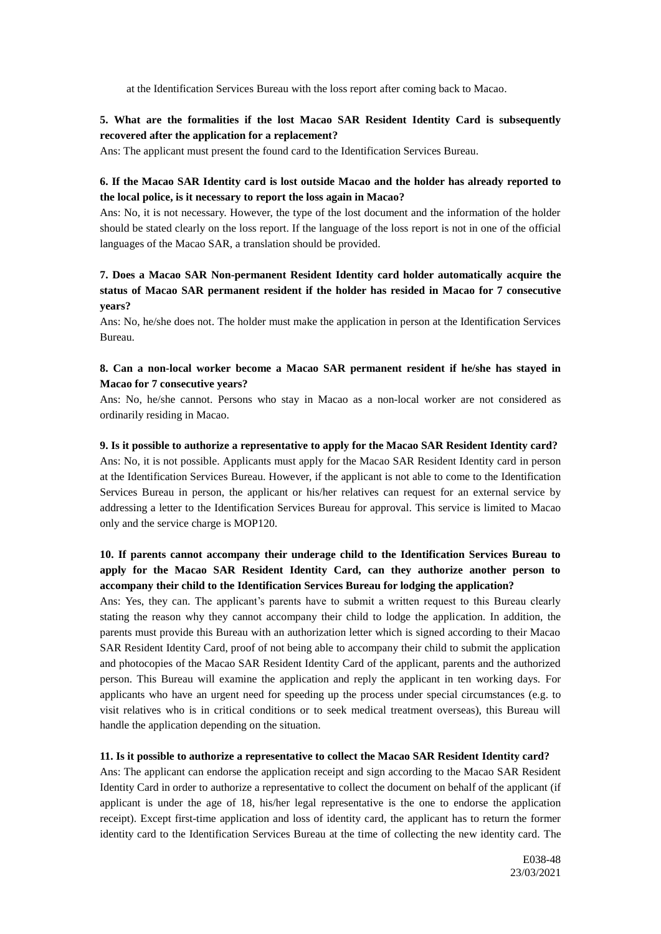at the Identification Services Bureau with the loss report after coming back to Macao.

## **5. What are the formalities if the lost Macao SAR Resident Identity Card is subsequently recovered after the application for a replacement?**

Ans: The applicant must present the found card to the Identification Services Bureau.

# **6. If the Macao SAR Identity card is lost outside Macao and the holder has already reported to the local police, is it necessary to report the loss again in Macao?**

Ans: No, it is not necessary. However, the type of the lost document and the information of the holder should be stated clearly on the loss report. If the language of the loss report is not in one of the official languages of the Macao SAR, a translation should be provided.

## **7. Does a Macao SAR Non-permanent Resident Identity card holder automatically acquire the status of Macao SAR permanent resident if the holder has resided in Macao for 7 consecutive years?**

Ans: No, he/she does not. The holder must make the application in person at the Identification Services Bureau.

### **8. Can a non-local worker become a Macao SAR permanent resident if he/she has stayed in Macao for 7 consecutive years?**

Ans: No, he/she cannot. Persons who stay in Macao as a non-local worker are not considered as ordinarily residing in Macao.

#### **9. Is it possible to authorize a representative to apply for the Macao SAR Resident Identity card?**

Ans: No, it is not possible. Applicants must apply for the Macao SAR Resident Identity card in person at the Identification Services Bureau. However, if the applicant is not able to come to the Identification Services Bureau in person, the applicant or his/her relatives can request for an external service by addressing a letter to the Identification Services Bureau for approval. This service is limited to Macao only and the service charge is MOP120.

# **10. If parents cannot accompany their underage child to the Identification Services Bureau to apply for the Macao SAR Resident Identity Card, can they authorize another person to accompany their child to the Identification Services Bureau for lodging the application?**

Ans: Yes, they can. The applicant's parents have to submit a written request to this Bureau clearly stating the reason why they cannot accompany their child to lodge the application. In addition, the parents must provide this Bureau with an authorization letter which is signed according to their Macao SAR Resident Identity Card, proof of not being able to accompany their child to submit the application and photocopies of the Macao SAR Resident Identity Card of the applicant, parents and the authorized person. This Bureau will examine the application and reply the applicant in ten working days. For applicants who have an urgent need for speeding up the process under special circumstances (e.g. to visit relatives who is in critical conditions or to seek medical treatment overseas), this Bureau will handle the application depending on the situation.

#### **11. Is it possible to authorize a representative to collect the Macao SAR Resident Identity card?**

Ans: The applicant can endorse the application receipt and sign according to the Macao SAR Resident Identity Card in order to authorize a representative to collect the document on behalf of the applicant (if applicant is under the age of 18, his/her legal representative is the one to endorse the application receipt). Except first-time application and loss of identity card, the applicant has to return the former identity card to the Identification Services Bureau at the time of collecting the new identity card. The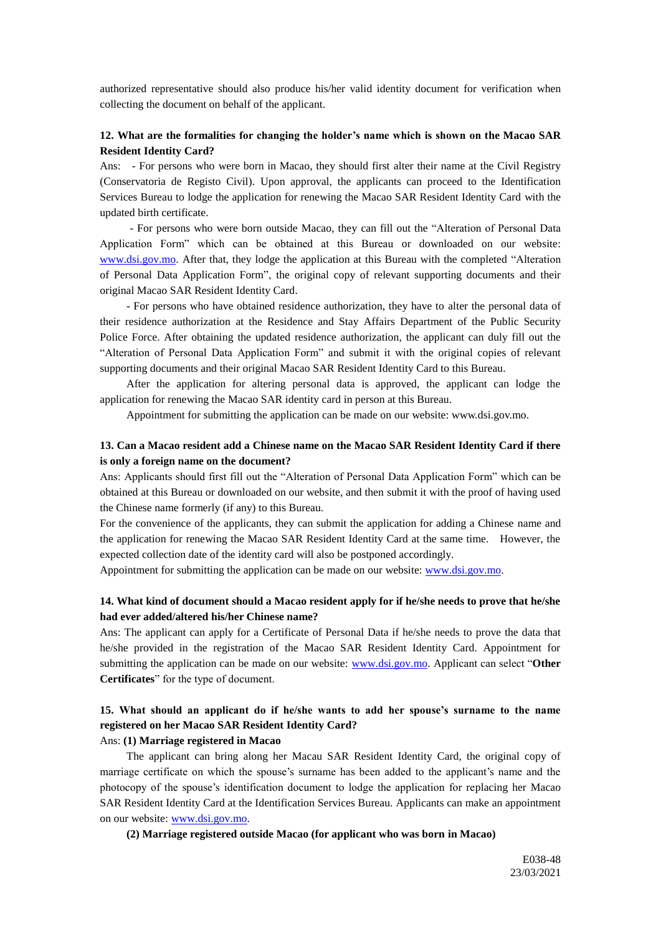authorized representative should also produce his/her valid identity document for verification when collecting the document on behalf of the applicant.

### **12. What are the formalities for changing the holder's name which is shown on the Macao SAR Resident Identity Card?**

Ans: - For persons who were born in Macao, they should first alter their name at the Civil Registry (Conservatoria de Registo Civil). Upon approval, the applicants can proceed to the Identification Services Bureau to lodge the application for renewing the Macao SAR Resident Identity Card with the updated birth certificate.

- For persons who were born outside Macao, they can fill out the "Alteration of Personal Data Application Form" which can be obtained at this Bureau or downloaded on our website: [www.dsi.gov.mo.](http://www.dsi.gov.mo/) After that, they lodge the application at this Bureau with the completed "Alteration of Personal Data Application Form", the original copy of relevant supporting documents and their original Macao SAR Resident Identity Card.

- For persons who have obtained residence authorization, they have to alter the personal data of their residence authorization at the Residence and Stay Affairs Department of the Public Security Police Force. After obtaining the updated residence authorization, the applicant can duly fill out the "Alteration of Personal Data Application Form" and submit it with the original copies of relevant supporting documents and their original Macao SAR Resident Identity Card to this Bureau.

After the application for altering personal data is approved, the applicant can lodge the application for renewing the Macao SAR identity card in person at this Bureau.

Appointment for submitting the application can be made on our website: www.dsi.gov.mo.

## **13. Can a Macao resident add a Chinese name on the Macao SAR Resident Identity Card if there is only a foreign name on the document?**

Ans: Applicants should first fill out the "Alteration of Personal Data Application Form" which can be obtained at this Bureau or downloaded on our website, and then submit it with the proof of having used the Chinese name formerly (if any) to this Bureau.

For the convenience of the applicants, they can submit the application for adding a Chinese name and the application for renewing the Macao SAR Resident Identity Card at the same time. However, the expected collection date of the identity card will also be postponed accordingly.

Appointment for submitting the application can be made on our website: [www.dsi.gov.mo.](http://www.dsi.gov.mo/)

## **14. What kind of document should a Macao resident apply for if he/she needs to prove that he/she had ever added/altered his/her Chinese name?**

Ans: The applicant can apply for a Certificate of Personal Data if he/she needs to prove the data that he/she provided in the registration of the Macao SAR Resident Identity Card. Appointment for submitting the application can be made on our website: [www.dsi.gov.mo.](http://www.dsi.gov.mo/) Applicant can select "**Other Certificates**" for the type of document.

# **15. What should an applicant do if he/she wants to add her spouse's surname to the name registered on her Macao SAR Resident Identity Card?**

### Ans: **(1) Marriage registered in Macao**

The applicant can bring along her Macau SAR Resident Identity Card, the original copy of marriage certificate on which the spouse's surname has been added to the applicant's name and the photocopy of the spouse's identification document to lodge the application for replacing her Macao SAR Resident Identity Card at the Identification Services Bureau. Applicants can make an appointment on our website: [www.dsi.gov.mo.](http://www.dsi.gov.mo/)

**(2) Marriage registered outside Macao (for applicant who was born in Macao)**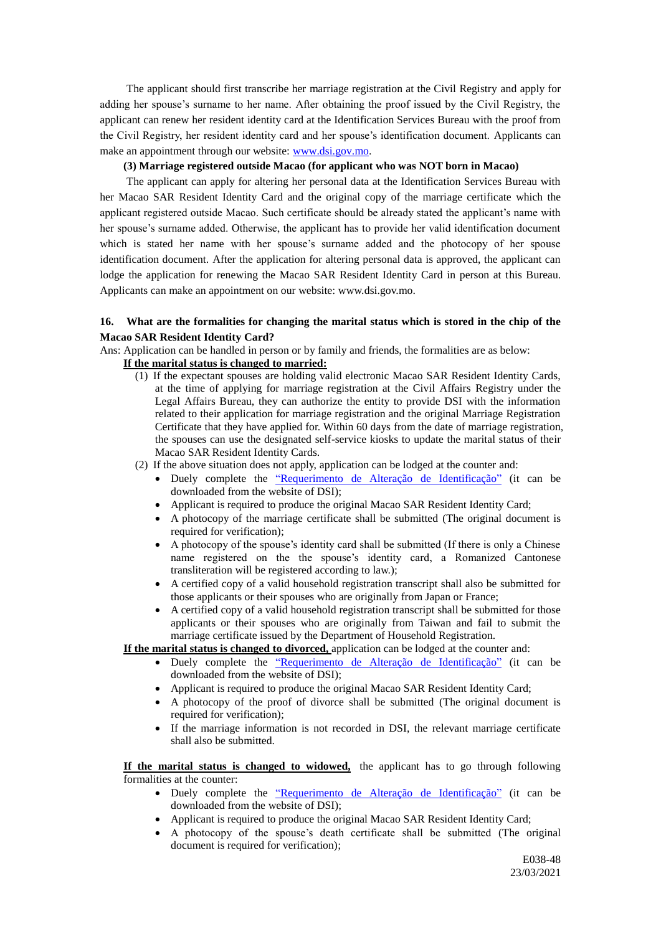The applicant should first transcribe her marriage registration at the Civil Registry and apply for adding her spouse's surname to her name. After obtaining the proof issued by the Civil Registry, the applicant can renew her resident identity card at the Identification Services Bureau with the proof from the Civil Registry, her resident identity card and her spouse's identification document. Applicants can make an appointment through our website: [www.dsi.gov.mo.](http://www.dsi.gov.mo/)

#### **(3) Marriage registered outside Macao (for applicant who was NOT born in Macao)**

The applicant can apply for altering her personal data at the Identification Services Bureau with her Macao SAR Resident Identity Card and the original copy of the marriage certificate which the applicant registered outside Macao. Such certificate should be already stated the applicant's name with her spouse's surname added. Otherwise, the applicant has to provide her valid identification document which is stated her name with her spouse's surname added and the photocopy of her spouse identification document. After the application for altering personal data is approved, the applicant can lodge the application for renewing the Macao SAR Resident Identity Card in person at this Bureau. Applicants can make an appointment on our website: www.dsi.gov.mo.

### **16. What are the formalities for changing the marital status which is stored in the chip of the Macao SAR Resident Identity Card?**

Ans: Application can be handled in person or by family and friends, the formalities are as below:

### **If the marital status is changed to married:**

- (1) If the expectant spouses are holding valid electronic Macao SAR Resident Identity Cards, at the time of applying for marriage registration at the Civil Affairs Registry under the Legal Affairs Bureau, they can authorize the entity to provide DSI with the information related to their application for marriage registration and the original Marriage Registration Certificate that they have applied for. Within 60 days from the date of marriage registration, the spouses can use the designated self-service kiosks to update the marital status of their Macao SAR Resident Identity Cards.
- (2) If the above situation does not apply, application can be lodged at the counter and:
	- Duely complete the ["Requerimento de Alteração de Identificação"](http://www.dsi.gov.mo/formsdownload_e.jsp) (it can be downloaded from the website of DSI);
	- Applicant is required to produce the original Macao SAR Resident Identity Card;
	- A photocopy of the marriage certificate shall be submitted (The original document is required for verification);
	- A photocopy of the spouse's identity card shall be submitted (If there is only a Chinese name registered on the the spouse's identity card, a Romanized Cantonese transliteration will be registered according to law.);
	- A certified copy of a valid household registration transcript shall also be submitted for those applicants or their spouses who are originally from Japan or France;
	- A certified copy of a valid household registration transcript shall be submitted for those applicants or their spouses who are originally from Taiwan and fail to submit the marriage certificate issued by the Department of Household Registration.

### **If the marital status is changed to divorced,** application can be lodged at the counter and:

- Duely complete the ["Requerimento de Alteração de Identificação"](http://www.dsi.gov.mo/formsdownload_e.jsp) (it can be downloaded from the website of DSI);
- Applicant is required to produce the original Macao SAR Resident Identity Card;
- A photocopy of the proof of divorce shall be submitted (The original document is required for verification);
- If the marriage information is not recorded in DSI, the relevant marriage certificate shall also be submitted.

**If the marital status is changed to widowed,** the applicant has to go through following formalities at the counter:

- Duely complete the ["Requerimento de Alteração de Identificação"](http://www.dsi.gov.mo/formsdownload_e.jsp) (it can be downloaded from the website of DSI);
- Applicant is required to produce the original Macao SAR Resident Identity Card;
- A photocopy of the spouse's death certificate shall be submitted (The original document is required for verification);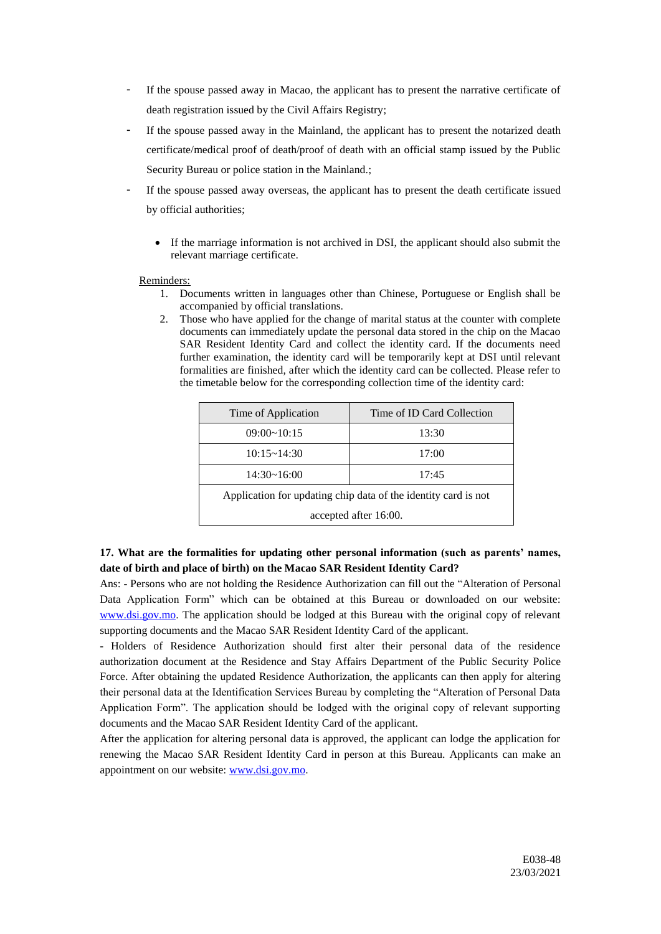- If the spouse passed away in Macao, the applicant has to present the narrative certificate of death registration issued by the Civil Affairs Registry;
- If the spouse passed away in the Mainland, the applicant has to present the notarized death certificate/medical proof of death/proof of death with an official stamp issued by the Public Security Bureau or police station in the Mainland.;
- If the spouse passed away overseas, the applicant has to present the death certificate issued by official authorities;
	- If the marriage information is not archived in DSI, the applicant should also submit the relevant marriage certificate.

### Reminders:

- 1. Documents written in languages other than Chinese, Portuguese or English shall be accompanied by official translations.
- 2. Those who have applied for the change of marital status at the counter with complete documents can immediately update the personal data stored in the chip on the Macao SAR Resident Identity Card and collect the identity card. If the documents need further examination, the identity card will be temporarily kept at DSI until relevant formalities are finished, after which the identity card can be collected. Please refer to the timetable below for the corresponding collection time of the identity card:

| Time of Application                                            | Time of ID Card Collection |
|----------------------------------------------------------------|----------------------------|
| $09:00 \sim 10:15$                                             | 13:30                      |
| 10:15~14:30                                                    | 17:00                      |
| 14:30~16:00                                                    | 17:45                      |
| Application for updating chip data of the identity card is not |                            |
| accepted after 16:00.                                          |                            |

## **17. What are the formalities for updating other personal information (such as parents' names, date of birth and place of birth) on the Macao SAR Resident Identity Card?**

Ans: - Persons who are not holding the Residence Authorization can fill out the "Alteration of Personal Data Application Form" which can be obtained at this Bureau or downloaded on our website: [www.dsi.gov.mo.](http://www.dsi.gov.mo/) The application should be lodged at this Bureau with the original copy of relevant supporting documents and the Macao SAR Resident Identity Card of the applicant.

- Holders of Residence Authorization should first alter their personal data of the residence authorization document at the Residence and Stay Affairs Department of the Public Security Police Force. After obtaining the updated Residence Authorization, the applicants can then apply for altering their personal data at the Identification Services Bureau by completing the "Alteration of Personal Data Application Form". The application should be lodged with the original copy of relevant supporting documents and the Macao SAR Resident Identity Card of the applicant.

After the application for altering personal data is approved, the applicant can lodge the application for renewing the Macao SAR Resident Identity Card in person at this Bureau. Applicants can make an appointment on our website: [www.dsi.gov.mo.](http://www.dsi.gov.mo/)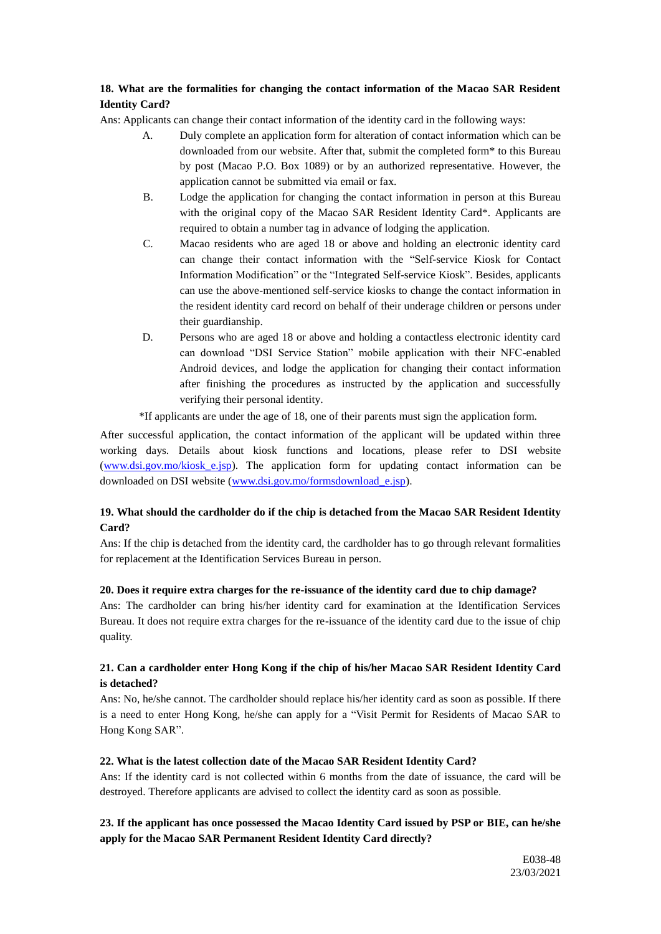# **18. What are the formalities for changing the contact information of the Macao SAR Resident Identity Card?**

Ans: Applicants can change their contact information of the identity card in the following ways:

- A. Duly complete an application form for alteration of contact information which can be downloaded from our website. After that, submit the completed form\* to this Bureau by post (Macao P.O. Box 1089) or by an authorized representative. However, the application cannot be submitted via email or fax.
- B. Lodge the application for changing the contact information in person at this Bureau with the original copy of the Macao SAR Resident Identity Card\*. Applicants are required to obtain a number tag in advance of lodging the application.
- C. Macao residents who are aged 18 or above and holding an electronic identity card can change their contact information with the "Self-service Kiosk for Contact Information Modification" or the "Integrated Self-service Kiosk". Besides, applicants can use the above-mentioned self-service kiosks to change the contact information in the resident identity card record on behalf of their underage children or persons under their guardianship.
- D. Persons who are aged 18 or above and holding a contactless electronic identity card can download "DSI Service Station" mobile application with their NFC-enabled Android devices, and lodge the application for changing their contact information after finishing the procedures as instructed by the application and successfully verifying their personal identity.

\*If applicants are under the age of 18, one of their parents must sign the application form.

After successful application, the contact information of the applicant will be updated within three working days. Details about kiosk functions and locations, please refer to DSI website (www.dsi.gov.mo/kiosk e.jsp). The application form for updating contact information can be downloaded on DSI website [\(www.dsi.gov.mo/formsdownload\\_e.jsp\)](http://www.dsi.gov.mo/formsdownload_e.jsp).

## **19. What should the cardholder do if the chip is detached from the Macao SAR Resident Identity Card?**

Ans: If the chip is detached from the identity card, the cardholder has to go through relevant formalities for replacement at the Identification Services Bureau in person.

## **20. Does it require extra charges for the re-issuance of the identity card due to chip damage?**

Ans: The cardholder can bring his/her identity card for examination at the Identification Services Bureau. It does not require extra charges for the re-issuance of the identity card due to the issue of chip quality.

## **21. Can a cardholder enter Hong Kong if the chip of his/her Macao SAR Resident Identity Card is detached?**

Ans: No, he/she cannot. The cardholder should replace his/her identity card as soon as possible. If there is a need to enter Hong Kong, he/she can apply for a "Visit Permit for Residents of Macao SAR to Hong Kong SAR".

## **22. What is the latest collection date of the Macao SAR Resident Identity Card?**

Ans: If the identity card is not collected within 6 months from the date of issuance, the card will be destroyed. Therefore applicants are advised to collect the identity card as soon as possible.

# **23. If the applicant has once possessed the Macao Identity Card issued by PSP or BIE, can he/she apply for the Macao SAR Permanent Resident Identity Card directly?**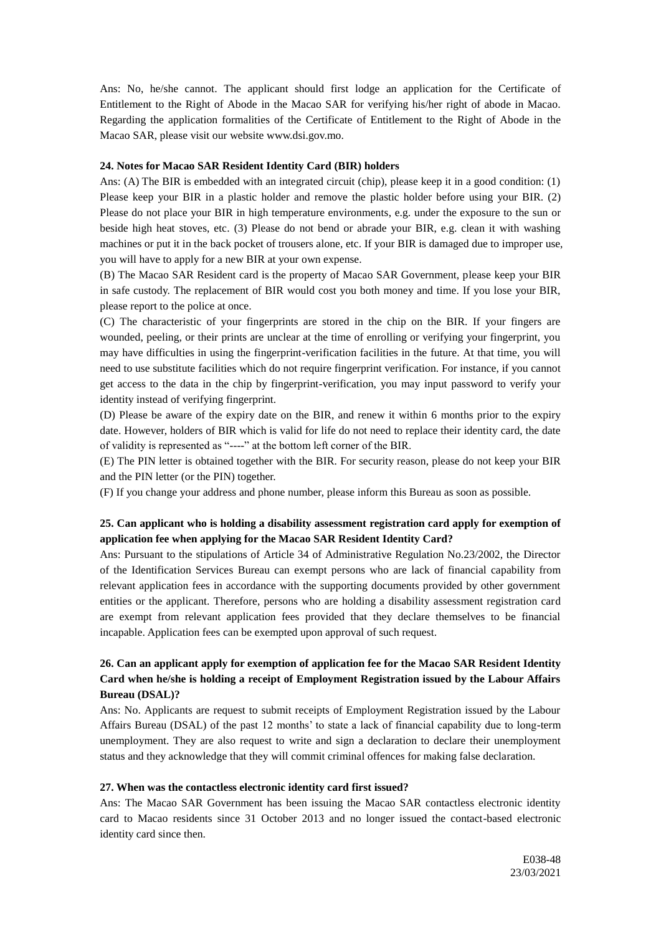Ans: No, he/she cannot. The applicant should first lodge an application for the Certificate of Entitlement to the Right of Abode in the Macao SAR for verifying his/her right of abode in Macao. Regarding the application formalities of the Certificate of Entitlement to the Right of Abode in the Macao SAR, please visit our website www.dsi.gov.mo.

### **24. Notes for Macao SAR Resident Identity Card (BIR) holders**

Ans: (A) The BIR is embedded with an integrated circuit (chip), please keep it in a good condition: (1) Please keep your BIR in a plastic holder and remove the plastic holder before using your BIR. (2) Please do not place your BIR in high temperature environments, e.g. under the exposure to the sun or beside high heat stoves, etc. (3) Please do not bend or abrade your BIR, e.g. clean it with washing machines or put it in the back pocket of trousers alone, etc. If your BIR is damaged due to improper use, you will have to apply for a new BIR at your own expense.

(B) The Macao SAR Resident card is the property of Macao SAR Government, please keep your BIR in safe custody. The replacement of BIR would cost you both money and time. If you lose your BIR, please report to the police at once.

(C) The characteristic of your fingerprints are stored in the chip on the BIR. If your fingers are wounded, peeling, or their prints are unclear at the time of enrolling or verifying your fingerprint, you may have difficulties in using the fingerprint-verification facilities in the future. At that time, you will need to use substitute facilities which do not require fingerprint verification. For instance, if you cannot get access to the data in the chip by fingerprint-verification, you may input password to verify your identity instead of verifying fingerprint.

(D) Please be aware of the expiry date on the BIR, and renew it within 6 months prior to the expiry date. However, holders of BIR which is valid for life do not need to replace their identity card, the date of validity is represented as "----" at the bottom left corner of the BIR.

(E) The PIN letter is obtained together with the BIR. For security reason, please do not keep your BIR and the PIN letter (or the PIN) together.

(F) If you change your address and phone number, please inform this Bureau as soon as possible.

### **25. Can applicant who is holding a disability assessment registration card apply for exemption of application fee when applying for the Macao SAR Resident Identity Card?**

Ans: Pursuant to the stipulations of Article 34 of Administrative Regulation No.23/2002, the Director of the Identification Services Bureau can exempt persons who are lack of financial capability from relevant application fees in accordance with the supporting documents provided by other government entities or the applicant. Therefore, persons who are holding a disability assessment registration card are exempt from relevant application fees provided that they declare themselves to be financial incapable. Application fees can be exempted upon approval of such request.

## **26. Can an applicant apply for exemption of application fee for the Macao SAR Resident Identity Card when he/she is holding a receipt of Employment Registration issued by the Labour Affairs Bureau (DSAL)?**

Ans: No. Applicants are request to submit receipts of Employment Registration issued by the Labour Affairs Bureau (DSAL) of the past 12 months' to state a lack of financial capability due to long-term unemployment. They are also request to write and sign a declaration to declare their unemployment status and they acknowledge that they will commit criminal offences for making false declaration.

#### **27. When was the contactless electronic identity card first issued?**

Ans: The Macao SAR Government has been issuing the Macao SAR contactless electronic identity card to Macao residents since 31 October 2013 and no longer issued the contact-based electronic identity card since then.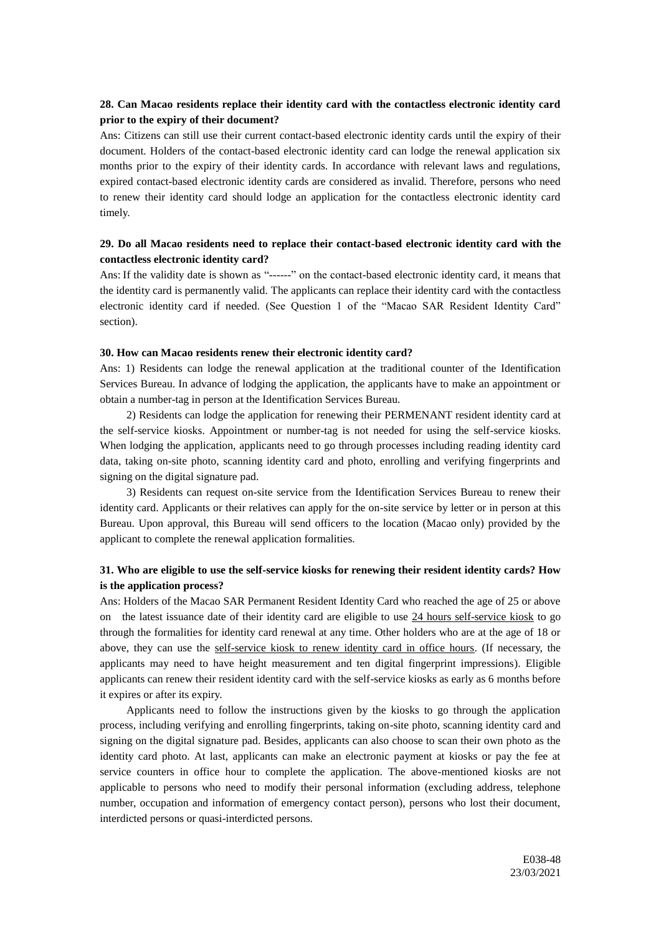### **28. Can Macao residents replace their identity card with the contactless electronic identity card prior to the expiry of their document?**

Ans: Citizens can still use their current contact-based electronic identity cards until the expiry of their document. Holders of the contact-based electronic identity card can lodge the renewal application six months prior to the expiry of their identity cards. In accordance with relevant laws and regulations, expired contact-based electronic identity cards are considered as invalid. Therefore, persons who need to renew their identity card should lodge an application for the contactless electronic identity card timely.

### **29. Do all Macao residents need to replace their contact-based electronic identity card with the contactless electronic identity card?**

Ans: If the validity date is shown as "------" on the contact-based electronic identity card, it means that the identity card is permanently valid. The applicants can replace their identity card with the contactless electronic identity card if needed. (See Question 1 of the "Macao SAR Resident Identity Card" section).

#### **30. How can Macao residents renew their electronic identity card?**

Ans: 1) Residents can lodge the renewal application at the traditional counter of the Identification Services Bureau. In advance of lodging the application, the applicants have to make an appointment or obtain a number-tag in person at the Identification Services Bureau.

2) Residents can lodge the application for renewing their PERMENANT resident identity card at the self-service kiosks. Appointment or number-tag is not needed for using the self-service kiosks. When lodging the application, applicants need to go through processes including reading identity card data, taking on-site photo, scanning identity card and photo, enrolling and verifying fingerprints and signing on the digital signature pad.

3) Residents can request on-site service from the Identification Services Bureau to renew their identity card. Applicants or their relatives can apply for the on-site service by letter or in person at this Bureau. Upon approval, this Bureau will send officers to the location (Macao only) provided by the applicant to complete the renewal application formalities.

## **31. Who are eligible to use the self-service kiosks for renewing their resident identity cards? How is the application process?**

Ans: Holders of the Macao SAR Permanent Resident Identity Card who reached the age of 25 or above on the latest issuance date of their identity card are eligible to use 24 hours self-service kiosk to go through the formalities for identity card renewal at any time. Other holders who are at the age of 18 or above, they can use the self-service kiosk to renew identity card in office hours. (If necessary, the applicants may need to have height measurement and ten digital fingerprint impressions). Eligible applicants can renew their resident identity card with the self-service kiosks as early as 6 months before it expires or after its expiry.

Applicants need to follow the instructions given by the kiosks to go through the application process, including verifying and enrolling fingerprints, taking on-site photo, scanning identity card and signing on the digital signature pad. Besides, applicants can also choose to scan their own photo as the identity card photo. At last, applicants can make an electronic payment at kiosks or pay the fee at service counters in office hour to complete the application. The above-mentioned kiosks are not applicable to persons who need to modify their personal information (excluding address, telephone number, occupation and information of emergency contact person), persons who lost their document, interdicted persons or quasi-interdicted persons.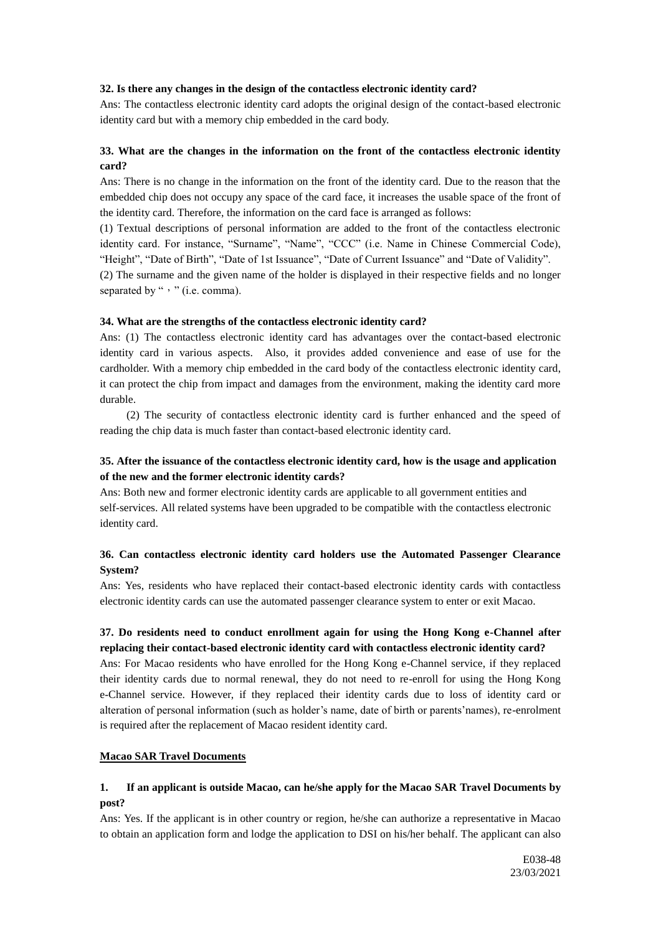#### **32. Is there any changes in the design of the contactless electronic identity card?**

Ans: The contactless electronic identity card adopts the original design of the contact-based electronic identity card but with a memory chip embedded in the card body.

## **33. What are the changes in the information on the front of the contactless electronic identity card?**

Ans: There is no change in the information on the front of the identity card. Due to the reason that the embedded chip does not occupy any space of the card face, it increases the usable space of the front of the identity card. Therefore, the information on the card face is arranged as follows:

(1) Textual descriptions of personal information are added to the front of the contactless electronic identity card. For instance, "Surname", "Name", "CCC" (i.e. Name in Chinese Commercial Code), "Height", "Date of Birth", "Date of 1st Issuance", "Date of Current Issuance" and "Date of Validity".

(2) The surname and the given name of the holder is displayed in their respective fields and no longer separated by ", " (i.e. comma).

### **34. What are the strengths of the contactless electronic identity card?**

Ans: (1) The contactless electronic identity card has advantages over the contact-based electronic identity card in various aspects. Also, it provides added convenience and ease of use for the cardholder. With a memory chip embedded in the card body of the contactless electronic identity card, it can protect the chip from impact and damages from the environment, making the identity card more durable.

(2) The security of contactless electronic identity card is further enhanced and the speed of reading the chip data is much faster than contact-based electronic identity card.

# **35. After the issuance of the contactless electronic identity card, how is the usage and application of the new and the former electronic identity cards?**

Ans: Both new and former electronic identity cards are applicable to all government entities and self-services. All related systems have been upgraded to be compatible with the contactless electronic identity card.

## **36. Can contactless electronic identity card holders use the Automated Passenger Clearance System?**

Ans: Yes, residents who have replaced their contact-based electronic identity cards with contactless electronic identity cards can use the automated passenger clearance system to enter or exit Macao.

## **37. Do residents need to conduct enrollment again for using the Hong Kong e-Channel after replacing their contact-based electronic identity card with contactless electronic identity card?**

Ans: For Macao residents who have enrolled for the Hong Kong e-Channel service, if they replaced their identity cards due to normal renewal, they do not need to re-enroll for using the Hong Kong e-Channel service. However, if they replaced their identity cards due to loss of identity card or alteration of personal information (such as holder's name, date of birth or parents'names), re-enrolment is required after the replacement of Macao resident identity card.

### **Macao SAR Travel Documents**

## **1. If an applicant is outside Macao, can he/she apply for the Macao SAR Travel Documents by post?**

Ans: Yes. If the applicant is in other country or region, he/she can authorize a representative in Macao to obtain an application form and lodge the application to DSI on his/her behalf. The applicant can also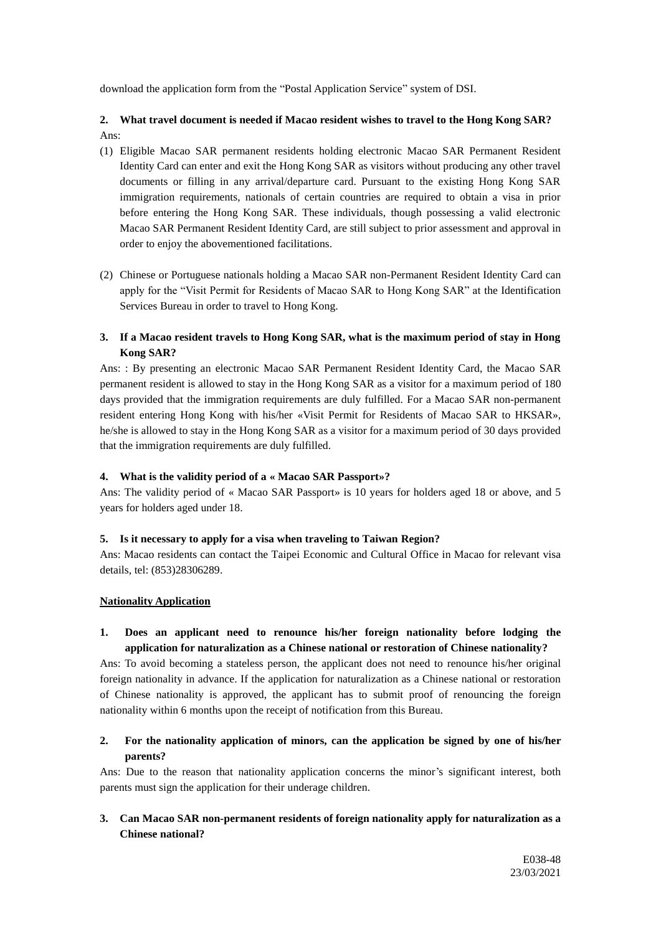download the application form from the "Postal Application Service" system of DSI.

# **2. What travel document is needed if Macao resident wishes to travel to the Hong Kong SAR?** Ans:

- (1) Eligible Macao SAR permanent residents holding electronic Macao SAR Permanent Resident Identity Card can enter and exit the Hong Kong SAR as visitors without producing any other travel documents or filling in any arrival/departure card. Pursuant to the existing Hong Kong SAR immigration requirements, nationals of certain countries are required to obtain a visa in prior before entering the Hong Kong SAR. These individuals, though possessing a valid electronic Macao SAR Permanent Resident Identity Card, are still subject to prior assessment and approval in order to enjoy the abovementioned facilitations.
- (2) Chinese or Portuguese nationals holding a Macao SAR non-Permanent Resident Identity Card can apply for the "Visit Permit for Residents of Macao SAR to Hong Kong SAR" at the Identification Services Bureau in order to travel to Hong Kong.

## **3. If a Macao resident travels to Hong Kong SAR, what is the maximum period of stay in Hong Kong SAR?**

Ans: : By presenting an electronic Macao SAR Permanent Resident Identity Card, the Macao SAR permanent resident is allowed to stay in the Hong Kong SAR as a visitor for a maximum period of 180 days provided that the immigration requirements are duly fulfilled. For a Macao SAR non-permanent resident entering Hong Kong with his/her «Visit Permit for Residents of Macao SAR to HKSAR», he/she is allowed to stay in the Hong Kong SAR as a visitor for a maximum period of 30 days provided that the immigration requirements are duly fulfilled.

## **4. What is the validity period of a « Macao SAR Passport»?**

Ans: The validity period of « Macao SAR Passport» is 10 years for holders aged 18 or above, and 5 years for holders aged under 18.

### **5. Is it necessary to apply for a visa when traveling to Taiwan Region?**

Ans: Macao residents can contact the Taipei Economic and Cultural Office in Macao for relevant visa details, tel: (853)28306289.

### **Nationality Application**

## **1. Does an applicant need to renounce his/her foreign nationality before lodging the application for naturalization as a Chinese national or restoration of Chinese nationality?**

Ans: To avoid becoming a stateless person, the applicant does not need to renounce his/her original foreign nationality in advance. If the application for naturalization as a Chinese national or restoration of Chinese nationality is approved, the applicant has to submit proof of renouncing the foreign nationality within 6 months upon the receipt of notification from this Bureau.

## **2. For the nationality application of minors, can the application be signed by one of his/her parents?**

Ans: Due to the reason that nationality application concerns the minor's significant interest, both parents must sign the application for their underage children.

## **3. Can Macao SAR non-permanent residents of foreign nationality apply for naturalization as a Chinese national?**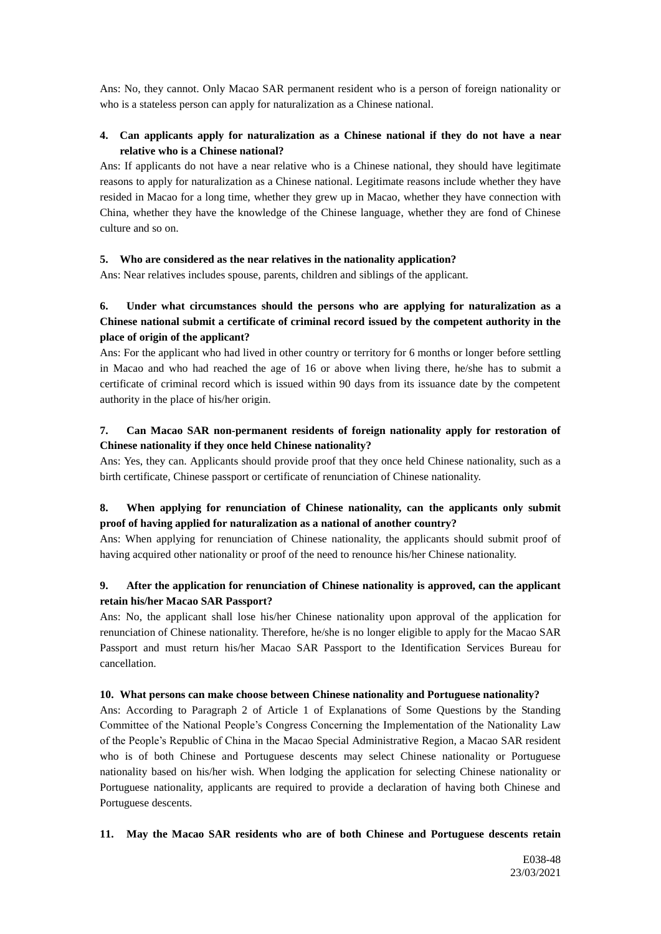Ans: No, they cannot. Only Macao SAR permanent resident who is a person of foreign nationality or who is a stateless person can apply for naturalization as a Chinese national.

## **4. Can applicants apply for naturalization as a Chinese national if they do not have a near relative who is a Chinese national?**

Ans: If applicants do not have a near relative who is a Chinese national, they should have legitimate reasons to apply for naturalization as a Chinese national. Legitimate reasons include whether they have resided in Macao for a long time, whether they grew up in Macao, whether they have connection with China, whether they have the knowledge of the Chinese language, whether they are fond of Chinese culture and so on.

### **5. Who are considered as the near relatives in the nationality application?**

Ans: Near relatives includes spouse, parents, children and siblings of the applicant.

# **6. Under what circumstances should the persons who are applying for naturalization as a Chinese national submit a certificate of criminal record issued by the competent authority in the place of origin of the applicant?**

Ans: For the applicant who had lived in other country or territory for 6 months or longer before settling in Macao and who had reached the age of 16 or above when living there, he/she has to submit a certificate of criminal record which is issued within 90 days from its issuance date by the competent authority in the place of his/her origin.

## **7. Can Macao SAR non-permanent residents of foreign nationality apply for restoration of Chinese nationality if they once held Chinese nationality?**

Ans: Yes, they can. Applicants should provide proof that they once held Chinese nationality, such as a birth certificate, Chinese passport or certificate of renunciation of Chinese nationality.

## **8. When applying for renunciation of Chinese nationality, can the applicants only submit proof of having applied for naturalization as a national of another country?**

Ans: When applying for renunciation of Chinese nationality, the applicants should submit proof of having acquired other nationality or proof of the need to renounce his/her Chinese nationality.

## **9. After the application for renunciation of Chinese nationality is approved, can the applicant retain his/her Macao SAR Passport?**

Ans: No, the applicant shall lose his/her Chinese nationality upon approval of the application for renunciation of Chinese nationality. Therefore, he/she is no longer eligible to apply for the Macao SAR Passport and must return his/her Macao SAR Passport to the Identification Services Bureau for cancellation.

### **10. What persons can make choose between Chinese nationality and Portuguese nationality?**

Ans: According to Paragraph 2 of Article 1 of Explanations of Some Questions by the Standing Committee of the National People's Congress Concerning the Implementation of the Nationality Law of the People's Republic of China in the Macao Special Administrative Region, a Macao SAR resident who is of both Chinese and Portuguese descents may select Chinese nationality or Portuguese nationality based on his/her wish. When lodging the application for selecting Chinese nationality or Portuguese nationality, applicants are required to provide a declaration of having both Chinese and Portuguese descents.

### **11. May the Macao SAR residents who are of both Chinese and Portuguese descents retain**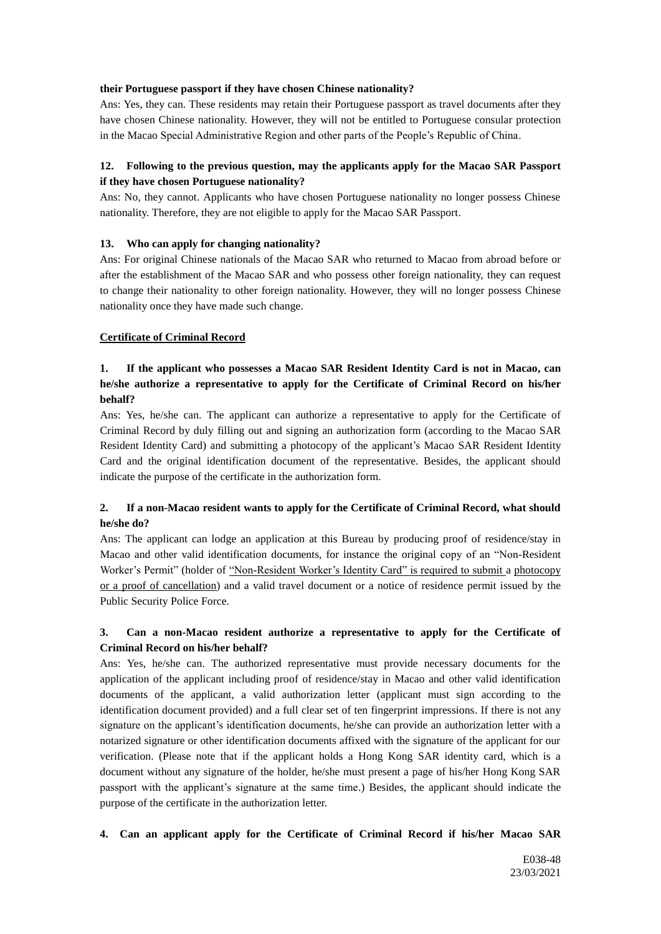### **their Portuguese passport if they have chosen Chinese nationality?**

Ans: Yes, they can. These residents may retain their Portuguese passport as travel documents after they have chosen Chinese nationality. However, they will not be entitled to Portuguese consular protection in the Macao Special Administrative Region and other parts of the People's Republic of China.

## **12. Following to the previous question, may the applicants apply for the Macao SAR Passport if they have chosen Portuguese nationality?**

Ans: No, they cannot. Applicants who have chosen Portuguese nationality no longer possess Chinese nationality. Therefore, they are not eligible to apply for the Macao SAR Passport.

#### **13. Who can apply for changing nationality?**

Ans: For original Chinese nationals of the Macao SAR who returned to Macao from abroad before or after the establishment of the Macao SAR and who possess other foreign nationality, they can request to change their nationality to other foreign nationality. However, they will no longer possess Chinese nationality once they have made such change.

#### **Certificate of Criminal Record**

## **1. If the applicant who possesses a Macao SAR Resident Identity Card is not in Macao, can he/she authorize a representative to apply for the Certificate of Criminal Record on his/her behalf?**

Ans: Yes, he/she can. The applicant can authorize a representative to apply for the Certificate of Criminal Record by duly filling out and signing an authorization form (according to the Macao SAR Resident Identity Card) and submitting a photocopy of the applicant's Macao SAR Resident Identity Card and the original identification document of the representative. Besides, the applicant should indicate the purpose of the certificate in the authorization form.

## **2. If a non-Macao resident wants to apply for the Certificate of Criminal Record, what should he/she do?**

Ans: The applicant can lodge an application at this Bureau by producing proof of residence/stay in Macao and other valid identification documents, for instance the original copy of an "Non-Resident Worker's Permit" (holder of "Non-Resident Worker's Identity Card" is required to submit a photocopy or a proof of cancellation) and a valid travel document or a notice of residence permit issued by the Public Security Police Force.

## **3. Can a non-Macao resident authorize a representative to apply for the Certificate of Criminal Record on his/her behalf?**

Ans: Yes, he/she can. The authorized representative must provide necessary documents for the application of the applicant including proof of residence/stay in Macao and other valid identification documents of the applicant, a valid authorization letter (applicant must sign according to the identification document provided) and a full clear set of ten fingerprint impressions. If there is not any signature on the applicant's identification documents, he/she can provide an authorization letter with a notarized signature or other identification documents affixed with the signature of the applicant for our verification. (Please note that if the applicant holds a Hong Kong SAR identity card, which is a document without any signature of the holder, he/she must present a page of his/her Hong Kong SAR passport with the applicant's signature at the same time.) Besides, the applicant should indicate the purpose of the certificate in the authorization letter.

### **4. Can an applicant apply for the Certificate of Criminal Record if his/her Macao SAR**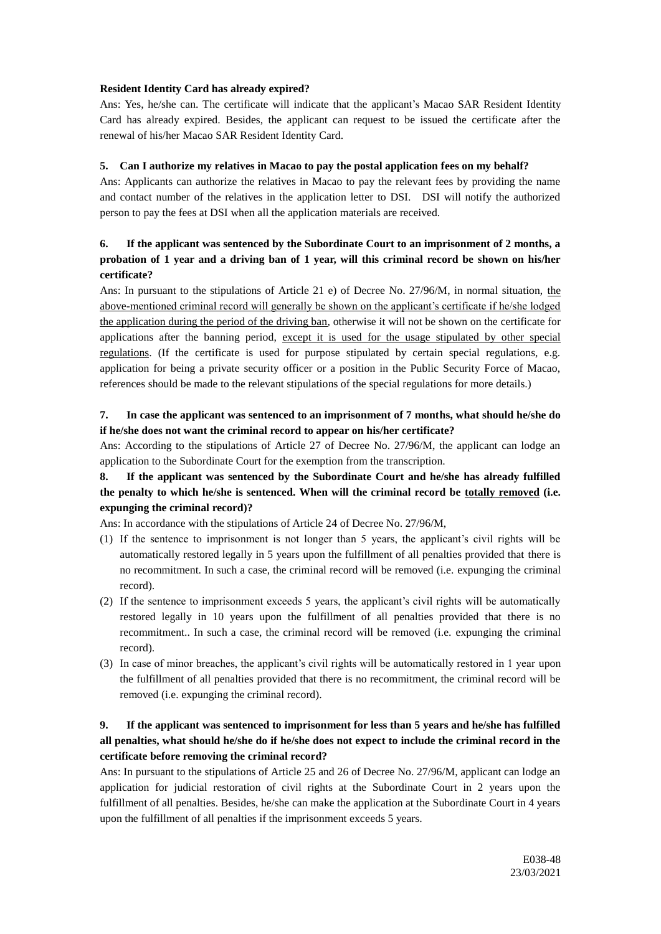### **Resident Identity Card has already expired?**

Ans: Yes, he/she can. The certificate will indicate that the applicant's Macao SAR Resident Identity Card has already expired. Besides, the applicant can request to be issued the certificate after the renewal of his/her Macao SAR Resident Identity Card.

## **5. Can I authorize my relatives in Macao to pay the postal application fees on my behalf?**

Ans: Applicants can authorize the relatives in Macao to pay the relevant fees by providing the name and contact number of the relatives in the application letter to DSI. DSI will notify the authorized person to pay the fees at DSI when all the application materials are received.

# **6. If the applicant was sentenced by the Subordinate Court to an imprisonment of 2 months, a probation of 1 year and a driving ban of 1 year, will this criminal record be shown on his/her certificate?**

Ans: In pursuant to the stipulations of Article 21 e) of Decree No. 27/96/M, in normal situation, the above-mentioned criminal record will generally be shown on the applicant's certificate if he/she lodged the application during the period of the driving ban, otherwise it will not be shown on the certificate for applications after the banning period, except it is used for the usage stipulated by other special regulations. (If the certificate is used for purpose stipulated by certain special regulations, e.g. application for being a private security officer or a position in the Public Security Force of Macao, references should be made to the relevant stipulations of the special regulations for more details.)

## **7. In case the applicant was sentenced to an imprisonment of 7 months, what should he/she do if he/she does not want the criminal record to appear on his/her certificate?**

Ans: According to the stipulations of Article 27 of Decree No. 27/96/M, the applicant can lodge an application to the Subordinate Court for the exemption from the transcription.

# **8. If the applicant was sentenced by the Subordinate Court and he/she has already fulfilled the penalty to which he/she is sentenced. When will the criminal record be totally removed (i.e. expunging the criminal record)?**

Ans: In accordance with the stipulations of Article 24 of Decree No. 27/96/M,

- (1) If the sentence to imprisonment is not longer than 5 years, the applicant's civil rights will be automatically restored legally in 5 years upon the fulfillment of all penalties provided that there is no recommitment. In such a case, the criminal record will be removed (i.e. expunging the criminal record).
- (2) If the sentence to imprisonment exceeds 5 years, the applicant's civil rights will be automatically restored legally in 10 years upon the fulfillment of all penalties provided that there is no recommitment.. In such a case, the criminal record will be removed (i.e. expunging the criminal record).
- (3) In case of minor breaches, the applicant's civil rights will be automatically restored in 1 year upon the fulfillment of all penalties provided that there is no recommitment, the criminal record will be removed (i.e. expunging the criminal record).

# **9. If the applicant was sentenced to imprisonment for less than 5 years and he/she has fulfilled all penalties, what should he/she do if he/she does not expect to include the criminal record in the certificate before removing the criminal record?**

Ans: In pursuant to the stipulations of Article 25 and 26 of Decree No. 27/96/M, applicant can lodge an application for judicial restoration of civil rights at the Subordinate Court in 2 years upon the fulfillment of all penalties. Besides, he/she can make the application at the Subordinate Court in 4 years upon the fulfillment of all penalties if the imprisonment exceeds 5 years.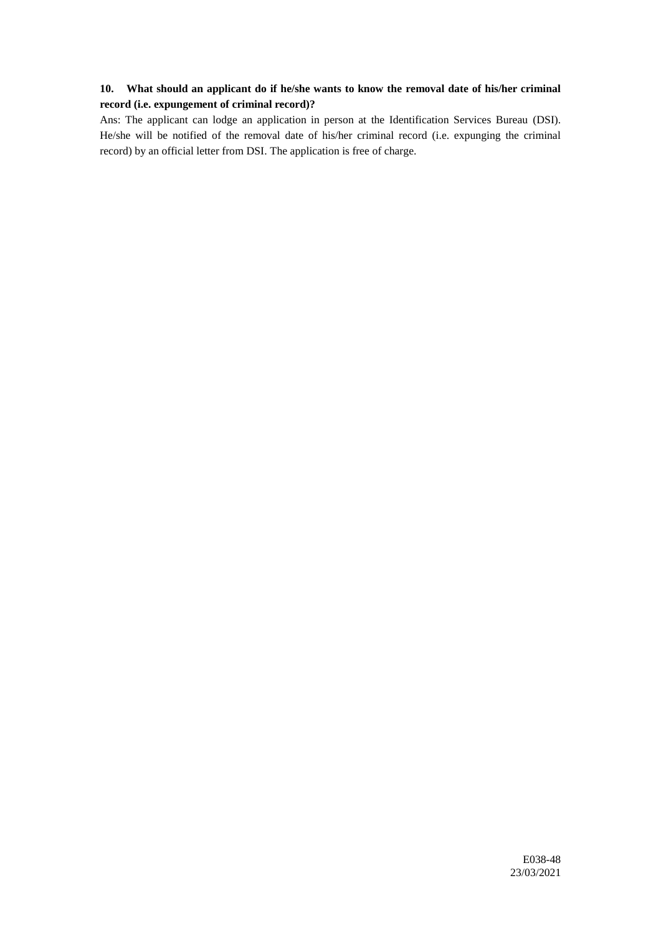# **10. What should an applicant do if he/she wants to know the removal date of his/her criminal record (i.e. expungement of criminal record)?**

Ans: The applicant can lodge an application in person at the Identification Services Bureau (DSI). He/she will be notified of the removal date of his/her criminal record (i.e. expunging the criminal record) by an official letter from DSI. The application is free of charge.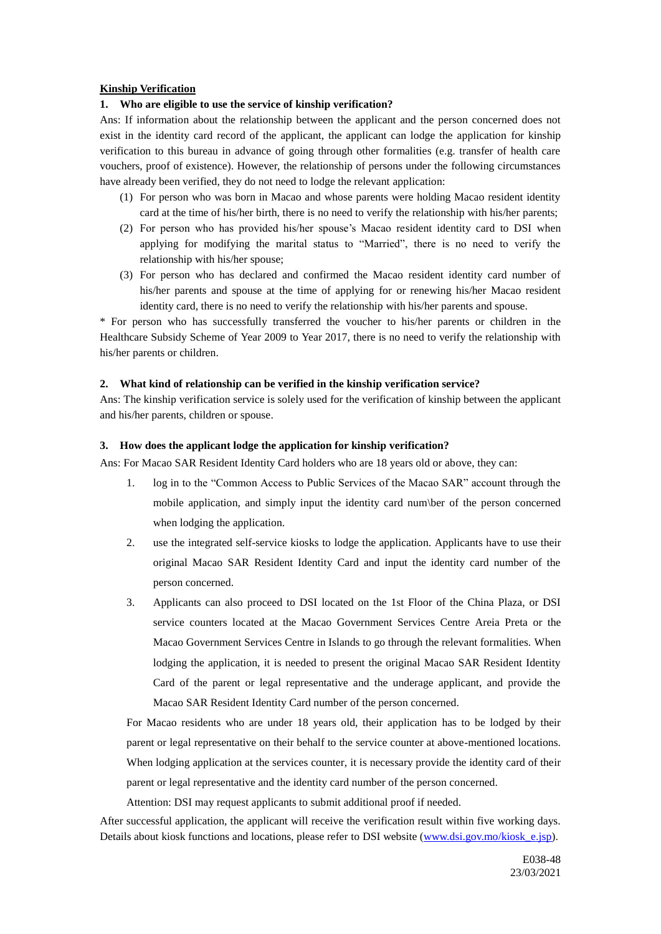#### **Kinship Verification**

### **1. Who are eligible to use the service of kinship verification?**

Ans: If information about the relationship between the applicant and the person concerned does not exist in the identity card record of the applicant, the applicant can lodge the application for kinship verification to this bureau in advance of going through other formalities (e.g. transfer of health care vouchers, proof of existence). However, the relationship of persons under the following circumstances have already been verified, they do not need to lodge the relevant application:

- (1) For person who was born in Macao and whose parents were holding Macao resident identity card at the time of his/her birth, there is no need to verify the relationship with his/her parents;
- (2) For person who has provided his/her spouse's Macao resident identity card to DSI when applying for modifying the marital status to "Married", there is no need to verify the relationship with his/her spouse;
- (3) For person who has declared and confirmed the Macao resident identity card number of his/her parents and spouse at the time of applying for or renewing his/her Macao resident identity card, there is no need to verify the relationship with his/her parents and spouse.

\* For person who has successfully transferred the voucher to his/her parents or children in the Healthcare Subsidy Scheme of Year 2009 to Year 2017, there is no need to verify the relationship with his/her parents or children.

#### **2. What kind of relationship can be verified in the kinship verification service?**

Ans: The kinship verification service is solely used for the verification of kinship between the applicant and his/her parents, children or spouse.

#### **3. How does the applicant lodge the application for kinship verification?**

Ans: For Macao SAR Resident Identity Card holders who are 18 years old or above, they can:

- 1. log in to the "Common Access to Public Services of the Macao SAR" account through the mobile application, and simply input the identity card num\ber of the person concerned when lodging the application.
- 2. use the integrated self-service kiosks to lodge the application. Applicants have to use their original Macao SAR Resident Identity Card and input the identity card number of the person concerned.
- 3. Applicants can also proceed to DSI located on the 1st Floor of the China Plaza, or DSI service counters located at the Macao Government Services Centre Areia Preta or the Macao Government Services Centre in Islands to go through the relevant formalities. When lodging the application, it is needed to present the original Macao SAR Resident Identity Card of the parent or legal representative and the underage applicant, and provide the Macao SAR Resident Identity Card number of the person concerned.

For Macao residents who are under 18 years old, their application has to be lodged by their parent or legal representative on their behalf to the service counter at above-mentioned locations. When lodging application at the services counter, it is necessary provide the identity card of their parent or legal representative and the identity card number of the person concerned.

Attention: DSI may request applicants to submit additional proof if needed.

After successful application, the applicant will receive the verification result within five working days. Details about kiosk functions and locations, please refer to DSI website [\(www.dsi.gov.mo/kiosk\\_e.jsp\)](www.dsi.gov.mo/kiosk_e.jsp).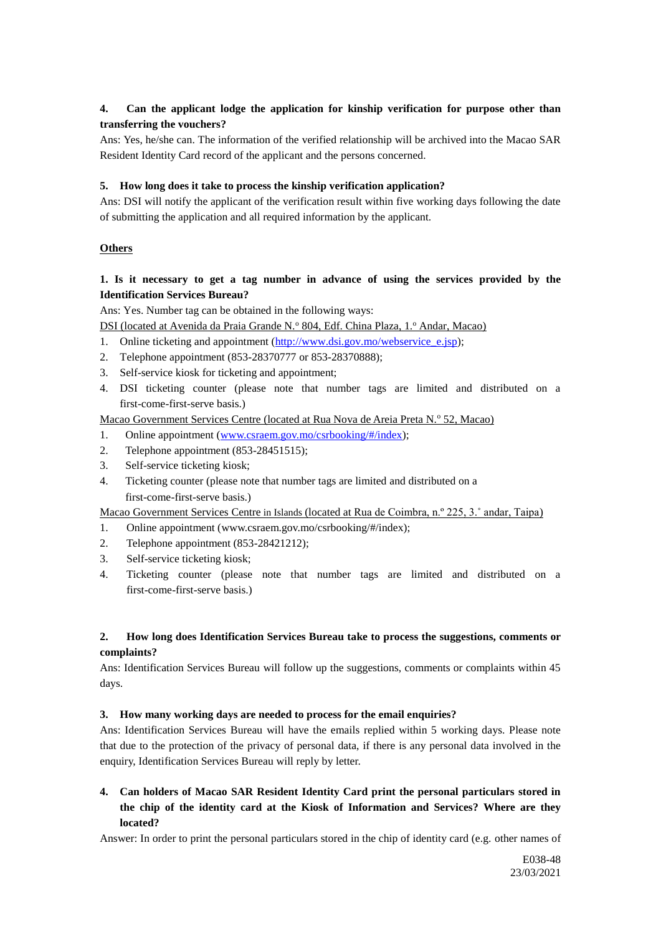## **4. Can the applicant lodge the application for kinship verification for purpose other than transferring the vouchers?**

Ans: Yes, he/she can. The information of the verified relationship will be archived into the Macao SAR Resident Identity Card record of the applicant and the persons concerned.

### **5. How long does it take to process the kinship verification application?**

Ans: DSI will notify the applicant of the verification result within five working days following the date of submitting the application and all required information by the applicant.

### **Others**

## **1. Is it necessary to get a tag number in advance of using the services provided by the Identification Services Bureau?**

Ans: Yes. Number tag can be obtained in the following ways:

DSI (located at Avenida da Praia Grande N.º 804, Edf. China Plaza, 1.º Andar, Macao)

- 1. Online ticketing and appointment [\(http://www.dsi.gov.mo/webservice\\_e.jsp\)](http://www.dsi.gov.mo/webservice_e.jsp);
- 2. Telephone appointment (853-28370777 or 853-28370888);
- 3. Self-service kiosk for ticketing and appointment;
- 4. DSI ticketing counter (please note that number tags are limited and distributed on a first-come-first-serve basis.)

Macao Government Services Centre (located at Rua Nova de Areia Preta N.º 52, Macao)

- 1. Online appointment [\(www.csraem.gov.mo/csrbooking/#/index\)](http://www.csraem.gov.mo/csrbooking/#/index);
- 2. Telephone appointment (853-28451515);
- 3. Self-service ticketing kiosk;
- 4. Ticketing counter (please note that number tags are limited and distributed on a first-come-first-serve basis.)

Macao Government Services Centre in Islands (located at Rua de Coimbra, n.º 225, 3.˚ andar, Taipa)

- 1. Online appointment (www.csraem.gov.mo/csrbooking/#/index);
- 2. Telephone appointment (853-28421212);
- 3. Self-service ticketing kiosk;
- 4. Ticketing counter (please note that number tags are limited and distributed on a first-come-first-serve basis.)

## **2. How long does Identification Services Bureau take to process the suggestions, comments or complaints?**

Ans: Identification Services Bureau will follow up the suggestions, comments or complaints within 45 days.

### **3. How many working days are needed to process for the email enquiries?**

Ans: Identification Services Bureau will have the emails replied within 5 working days. Please note that due to the protection of the privacy of personal data, if there is any personal data involved in the enquiry, Identification Services Bureau will reply by letter.

**4. Can holders of Macao SAR Resident Identity Card print the personal particulars stored in the chip of the identity card at the Kiosk of Information and Services? Where are they located?**

Answer: In order to print the personal particulars stored in the chip of identity card (e.g. other names of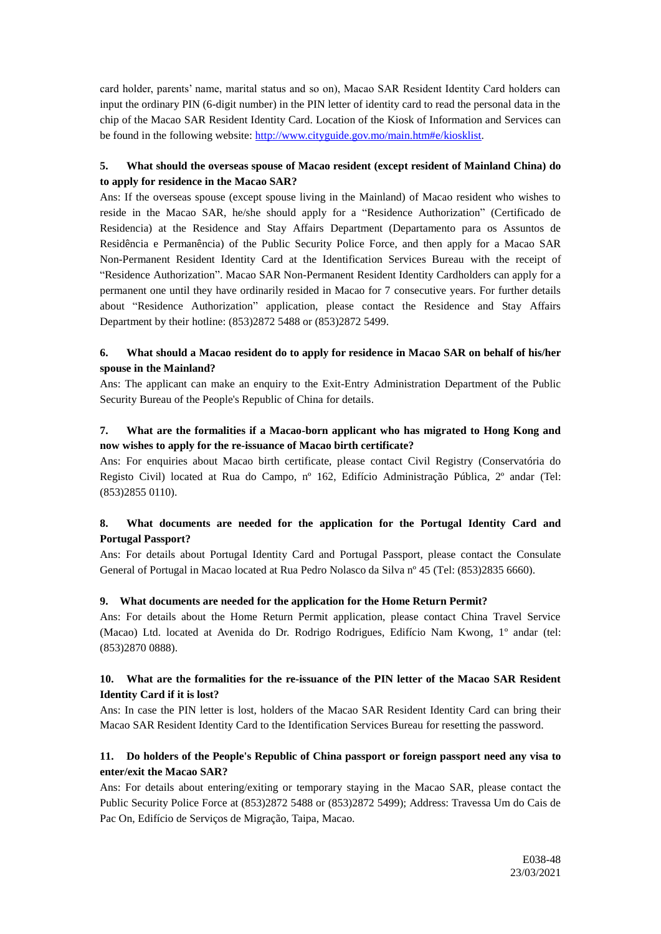card holder, parents' name, marital status and so on), Macao SAR Resident Identity Card holders can input the ordinary PIN (6-digit number) in the PIN letter of identity card to read the personal data in the chip of the Macao SAR Resident Identity Card. Location of the Kiosk of Information and Services can be found in the following website: [http://www.cityguide.gov.mo/main.htm#e/kiosklist.](http://www.cityguide.gov.mo/main.htm#e/kiosklist)

# **5. What should the overseas spouse of Macao resident (except resident of Mainland China) do to apply for residence in the Macao SAR?**

Ans: If the overseas spouse (except spouse living in the Mainland) of Macao resident who wishes to reside in the Macao SAR, he/she should apply for a "Residence Authorization" (Certificado de Residencia) at the Residence and Stay Affairs Department (Departamento para os Assuntos de Residência e Permanência) of the Public Security Police Force, and then apply for a Macao SAR Non-Permanent Resident Identity Card at the Identification Services Bureau with the receipt of "Residence Authorization". Macao SAR Non-Permanent Resident Identity Cardholders can apply for a permanent one until they have ordinarily resided in Macao for 7 consecutive years. For further details about "Residence Authorization" application, please contact the Residence and Stay Affairs Department by their hotline: (853)2872 5488 or (853)2872 5499.

## **6. What should a Macao resident do to apply for residence in Macao SAR on behalf of his/her spouse in the Mainland?**

Ans: The applicant can make an enquiry to the Exit-Entry Administration Department of the Public Security Bureau of the People's Republic of China for details.

### **7. What are the formalities if a Macao-born applicant who has migrated to Hong Kong and now wishes to apply for the re-issuance of Macao birth certificate?**

Ans: For enquiries about Macao birth certificate, please contact Civil Registry (Conservatória do Registo Civil) located at Rua do Campo, nº 162, Edifício Administração Pública, 2º andar (Tel: (853)2855 0110).

## **8. What documents are needed for the application for the Portugal Identity Card and Portugal Passport?**

Ans: For details about Portugal Identity Card and Portugal Passport, please contact the Consulate General of Portugal in Macao located at Rua Pedro Nolasco da Silva nº 45 (Tel: (853)2835 6660).

## **9. What documents are needed for the application for the Home Return Permit?**

Ans: For details about the Home Return Permit application, please contact China Travel Service (Macao) Ltd. located at Avenida do Dr. Rodrigo Rodrigues, Edifício Nam Kwong, 1º andar (tel: (853)2870 0888).

## **10. What are the formalities for the re-issuance of the PIN letter of the Macao SAR Resident Identity Card if it is lost?**

Ans: In case the PIN letter is lost, holders of the Macao SAR Resident Identity Card can bring their Macao SAR Resident Identity Card to the Identification Services Bureau for resetting the password.

## **11. Do holders of the [People's Republic of China passport](http://en.wikipedia.org/wiki/People) or foreign passport need any visa to enter/exit the Macao SAR?**

Ans: For details about entering/exiting or temporary staying in the Macao SAR, please contact the Public Security Police Force at (853)2872 5488 or (853)2872 5499); Address: Travessa Um do Cais de Pac On, Edifício de Serviços de Migração, Taipa, Macao.